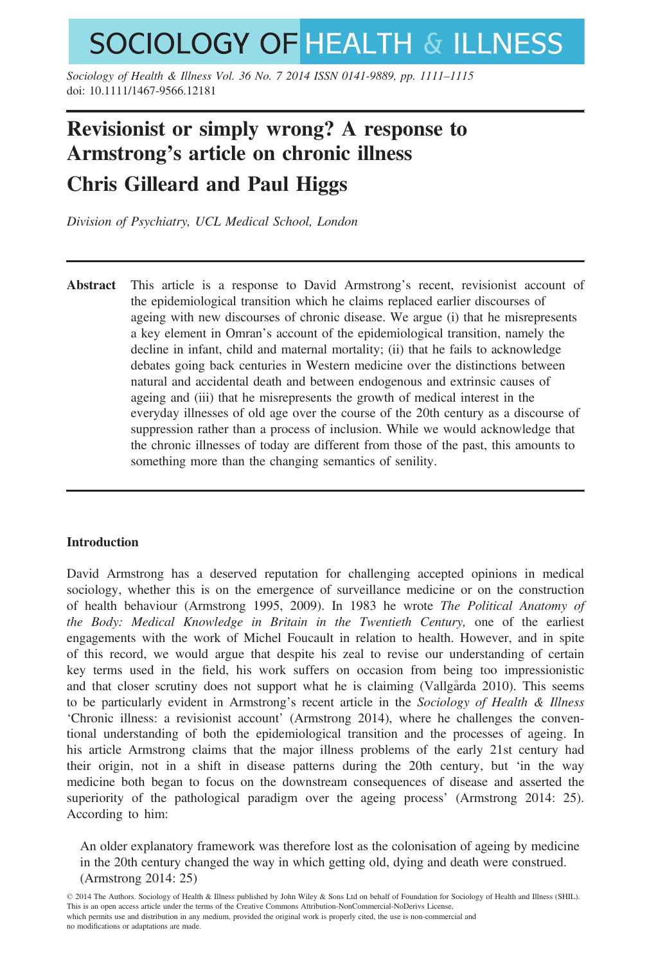# **SOCIOLOGY OF HEALTH & ILLNESS**

Sociology of Health & Illness Vol. 36 No. 7 2014 ISSN 0141-9889, pp. 1111–1115 doi: 10.1111/1467-9566.12181

# Revisionist or simply wrong? A response to Armstrong's article on chronic illness Chris Gilleard and Paul Higgs

Division of Psychiatry, UCL Medical School, London

Abstract This article is a response to David Armstrong's recent, revisionist account of the epidemiological transition which he claims replaced earlier discourses of ageing with new discourses of chronic disease. We argue (i) that he misrepresents a key element in Omran's account of the epidemiological transition, namely the decline in infant, child and maternal mortality; (ii) that he fails to acknowledge debates going back centuries in Western medicine over the distinctions between natural and accidental death and between endogenous and extrinsic causes of ageing and (iii) that he misrepresents the growth of medical interest in the everyday illnesses of old age over the course of the 20th century as a discourse of suppression rather than a process of inclusion. While we would acknowledge that the chronic illnesses of today are different from those of the past, this amounts to something more than the changing semantics of senility.

## **Introduction**

David Armstrong has a deserved reputation for challenging accepted opinions in medical sociology, whether this is on the emergence of surveillance medicine or on the construction of health behaviour (Armstrong 1995, 2009). In 1983 he wrote The Political Anatomy of the Body: Medical Knowledge in Britain in the Twentieth Century, one of the earliest engagements with the work of Michel Foucault in relation to health. However, and in spite of this record, we would argue that despite his zeal to revise our understanding of certain key terms used in the field, his work suffers on occasion from being too impressionistic and that closer scrutiny does not support what he is claiming (Vallgarda 2010). This seems to be particularly evident in Armstrong's recent article in the Sociology of Health & Illness 'Chronic illness: a revisionist account' (Armstrong 2014), where he challenges the conventional understanding of both the epidemiological transition and the processes of ageing. In his article Armstrong claims that the major illness problems of the early 21st century had their origin, not in a shift in disease patterns during the 20th century, but 'in the way medicine both began to focus on the downstream consequences of disease and asserted the superiority of the pathological paradigm over the ageing process' (Armstrong 2014: 25). According to him:

An older explanatory framework was therefore lost as the colonisation of ageing by medicine in the 20th century changed the way in which getting old, dying and death were construed. (Armstrong 2014: 25)

© 2014 The Authors. Sociology of Health & Illness published by John Wiley & Sons Ltd on behalf of Foundation for Sociology of Health and Illness (SHIL). This is an open access article under the terms of the Creative Commons Attribution-NonCommercial-NoDerivs License, which permits use and distribution in any medium, provided the original work is properly cited, the use is non-commercial and no modifications or adaptations are made.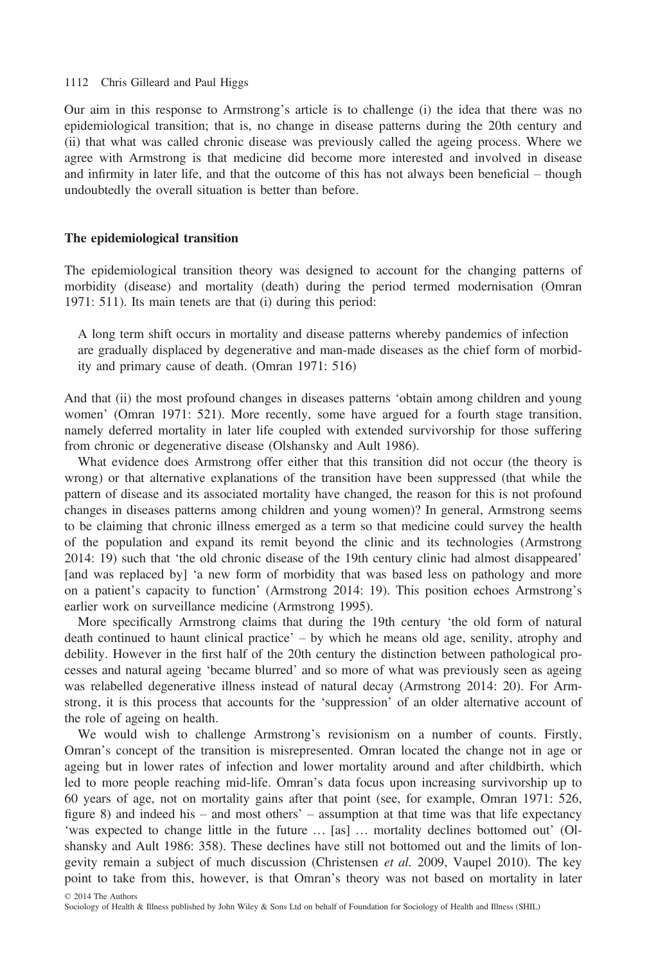#### 1112 Chris Gilleard and Paul Higgs

Our aim in this response to Armstrong's article is to challenge (i) the idea that there was no epidemiological transition; that is, no change in disease patterns during the 20th century and (ii) that what was called chronic disease was previously called the ageing process. Where we agree with Armstrong is that medicine did become more interested and involved in disease and infirmity in later life, and that the outcome of this has not always been beneficial – though undoubtedly the overall situation is better than before.

#### The epidemiological transition

The epidemiological transition theory was designed to account for the changing patterns of morbidity (disease) and mortality (death) during the period termed modernisation (Omran 1971: 511). Its main tenets are that (i) during this period:

A long term shift occurs in mortality and disease patterns whereby pandemics of infection are gradually displaced by degenerative and man-made diseases as the chief form of morbidity and primary cause of death. (Omran 1971: 516)

And that (ii) the most profound changes in diseases patterns 'obtain among children and young women' (Omran 1971: 521). More recently, some have argued for a fourth stage transition, namely deferred mortality in later life coupled with extended survivorship for those suffering from chronic or degenerative disease (Olshansky and Ault 1986).

What evidence does Armstrong offer either that this transition did not occur (the theory is wrong) or that alternative explanations of the transition have been suppressed (that while the pattern of disease and its associated mortality have changed, the reason for this is not profound changes in diseases patterns among children and young women)? In general, Armstrong seems to be claiming that chronic illness emerged as a term so that medicine could survey the health of the population and expand its remit beyond the clinic and its technologies (Armstrong 2014: 19) such that 'the old chronic disease of the 19th century clinic had almost disappeared' [and was replaced by] 'a new form of morbidity that was based less on pathology and more on a patient's capacity to function' (Armstrong 2014: 19). This position echoes Armstrong's earlier work on surveillance medicine (Armstrong 1995).

More specifically Armstrong claims that during the 19th century 'the old form of natural death continued to haunt clinical practice' – by which he means old age, senility, atrophy and debility. However in the first half of the 20th century the distinction between pathological processes and natural ageing 'became blurred' and so more of what was previously seen as ageing was relabelled degenerative illness instead of natural decay (Armstrong 2014: 20). For Armstrong, it is this process that accounts for the 'suppression' of an older alternative account of the role of ageing on health.

We would wish to challenge Armstrong's revisionism on a number of counts. Firstly, Omran's concept of the transition is misrepresented. Omran located the change not in age or ageing but in lower rates of infection and lower mortality around and after childbirth, which led to more people reaching mid-life. Omran's data focus upon increasing survivorship up to 60 years of age, not on mortality gains after that point (see, for example, Omran 1971: 526, figure 8) and indeed his – and most others' – assumption at that time was that life expectancy 'was expected to change little in the future … [as] … mortality declines bottomed out' (Olshansky and Ault 1986: 358). These declines have still not bottomed out and the limits of longevity remain a subject of much discussion (Christensen et al. 2009, Vaupel 2010). The key point to take from this, however, is that Omran's theory was not based on mortality in later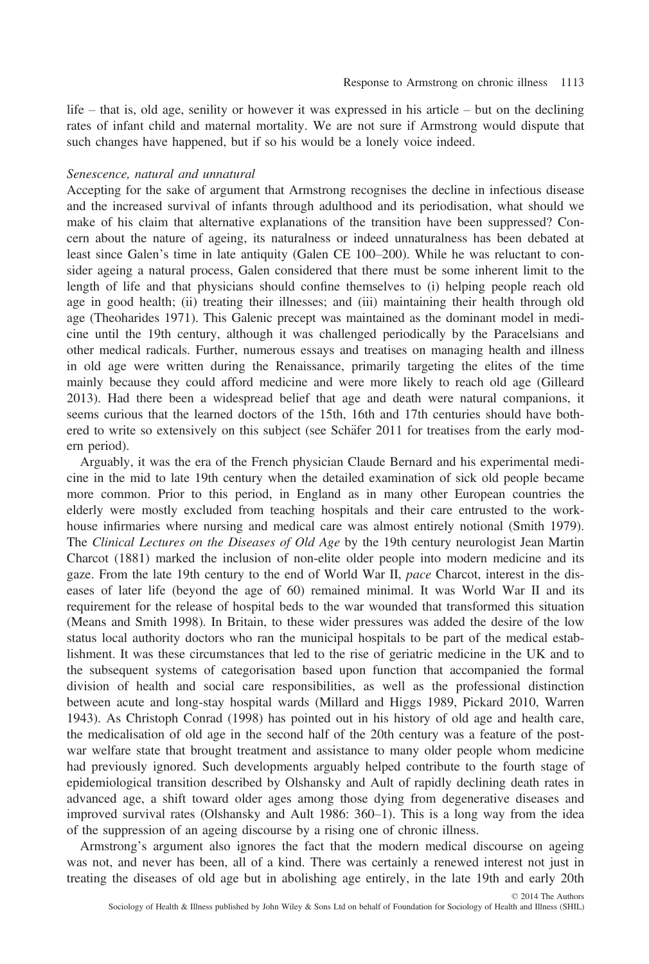life – that is, old age, senility or however it was expressed in his article – but on the declining rates of infant child and maternal mortality. We are not sure if Armstrong would dispute that such changes have happened, but if so his would be a lonely voice indeed.

#### Senescence, natural and unnatural

Accepting for the sake of argument that Armstrong recognises the decline in infectious disease and the increased survival of infants through adulthood and its periodisation, what should we make of his claim that alternative explanations of the transition have been suppressed? Concern about the nature of ageing, its naturalness or indeed unnaturalness has been debated at least since Galen's time in late antiquity (Galen CE 100–200). While he was reluctant to consider ageing a natural process, Galen considered that there must be some inherent limit to the length of life and that physicians should confine themselves to (i) helping people reach old age in good health; (ii) treating their illnesses; and (iii) maintaining their health through old age (Theoharides 1971). This Galenic precept was maintained as the dominant model in medicine until the 19th century, although it was challenged periodically by the Paracelsians and other medical radicals. Further, numerous essays and treatises on managing health and illness in old age were written during the Renaissance, primarily targeting the elites of the time mainly because they could afford medicine and were more likely to reach old age (Gilleard 2013). Had there been a widespread belief that age and death were natural companions, it seems curious that the learned doctors of the 15th, 16th and 17th centuries should have bothered to write so extensively on this subject (see Schäfer 2011 for treatises from the early modern period).

Arguably, it was the era of the French physician Claude Bernard and his experimental medicine in the mid to late 19th century when the detailed examination of sick old people became more common. Prior to this period, in England as in many other European countries the elderly were mostly excluded from teaching hospitals and their care entrusted to the workhouse infirmaries where nursing and medical care was almost entirely notional (Smith 1979). The Clinical Lectures on the Diseases of Old Age by the 19th century neurologist Jean Martin Charcot (1881) marked the inclusion of non-elite older people into modern medicine and its gaze. From the late 19th century to the end of World War II, pace Charcot, interest in the diseases of later life (beyond the age of 60) remained minimal. It was World War II and its requirement for the release of hospital beds to the war wounded that transformed this situation (Means and Smith 1998). In Britain, to these wider pressures was added the desire of the low status local authority doctors who ran the municipal hospitals to be part of the medical establishment. It was these circumstances that led to the rise of geriatric medicine in the UK and to the subsequent systems of categorisation based upon function that accompanied the formal division of health and social care responsibilities, as well as the professional distinction between acute and long-stay hospital wards (Millard and Higgs 1989, Pickard 2010, Warren 1943). As Christoph Conrad (1998) has pointed out in his history of old age and health care, the medicalisation of old age in the second half of the 20th century was a feature of the postwar welfare state that brought treatment and assistance to many older people whom medicine had previously ignored. Such developments arguably helped contribute to the fourth stage of epidemiological transition described by Olshansky and Ault of rapidly declining death rates in advanced age, a shift toward older ages among those dying from degenerative diseases and improved survival rates (Olshansky and Ault 1986: 360–1). This is a long way from the idea of the suppression of an ageing discourse by a rising one of chronic illness.

Armstrong's argument also ignores the fact that the modern medical discourse on ageing was not, and never has been, all of a kind. There was certainly a renewed interest not just in treating the diseases of old age but in abolishing age entirely, in the late 19th and early 20th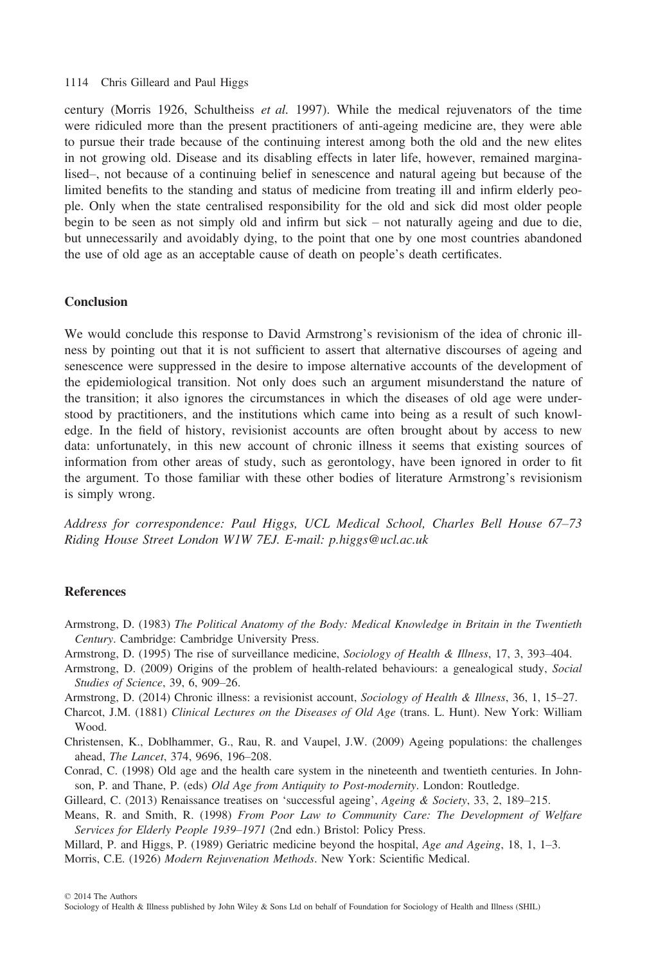#### 1114 Chris Gilleard and Paul Higgs

century (Morris 1926, Schultheiss et al. 1997). While the medical rejuvenators of the time were ridiculed more than the present practitioners of anti-ageing medicine are, they were able to pursue their trade because of the continuing interest among both the old and the new elites in not growing old. Disease and its disabling effects in later life, however, remained marginalised–, not because of a continuing belief in senescence and natural ageing but because of the limited benefits to the standing and status of medicine from treating ill and infirm elderly people. Only when the state centralised responsibility for the old and sick did most older people begin to be seen as not simply old and infirm but sick – not naturally ageing and due to die, but unnecessarily and avoidably dying, to the point that one by one most countries abandoned the use of old age as an acceptable cause of death on people's death certificates.

#### **Conclusion**

We would conclude this response to David Armstrong's revisionism of the idea of chronic illness by pointing out that it is not sufficient to assert that alternative discourses of ageing and senescence were suppressed in the desire to impose alternative accounts of the development of the epidemiological transition. Not only does such an argument misunderstand the nature of the transition; it also ignores the circumstances in which the diseases of old age were understood by practitioners, and the institutions which came into being as a result of such knowledge. In the field of history, revisionist accounts are often brought about by access to new data: unfortunately, in this new account of chronic illness it seems that existing sources of information from other areas of study, such as gerontology, have been ignored in order to fit the argument. To those familiar with these other bodies of literature Armstrong's revisionism is simply wrong.

Address for correspondence: Paul Higgs, UCL Medical School, Charles Bell House 67–73 Riding House Street London W1W 7EJ. E-mail: p.higgs@ucl.ac.uk

### **References**

- Armstrong, D. (1983) The Political Anatomy of the Body: Medical Knowledge in Britain in the Twentieth Century. Cambridge: Cambridge University Press.
- Armstrong, D. (1995) The rise of surveillance medicine, Sociology of Health & Illness, 17, 3, 393–404.
- Armstrong, D. (2009) Origins of the problem of health-related behaviours: a genealogical study, Social Studies of Science, 39, 6, 909–26.
- Armstrong, D. (2014) Chronic illness: a revisionist account, Sociology of Health & Illness, 36, 1, 15–27.
- Charcot, J.M. (1881) Clinical Lectures on the Diseases of Old Age (trans. L. Hunt). New York: William Wood.
- Christensen, K., Doblhammer, G., Rau, R. and Vaupel, J.W. (2009) Ageing populations: the challenges ahead, The Lancet, 374, 9696, 196–208.
- Conrad, C. (1998) Old age and the health care system in the nineteenth and twentieth centuries. In Johnson, P. and Thane, P. (eds) Old Age from Antiquity to Post-modernity. London: Routledge.
- Gilleard, C. (2013) Renaissance treatises on 'successful ageing', Ageing & Society, 33, 2, 189-215.
- Means, R. and Smith, R. (1998) From Poor Law to Community Care: The Development of Welfare Services for Elderly People 1939–1971 (2nd edn.) Bristol: Policy Press.
- Millard, P. and Higgs, P. (1989) Geriatric medicine beyond the hospital, Age and Ageing, 18, 1, 1–3. Morris, C.E. (1926) Modern Rejuvenation Methods. New York: Scientific Medical.

© 2014 The Authors

Sociology of Health & Illness published by John Wiley & Sons Ltd on behalf of Foundation for Sociology of Health and Illness (SHIL)